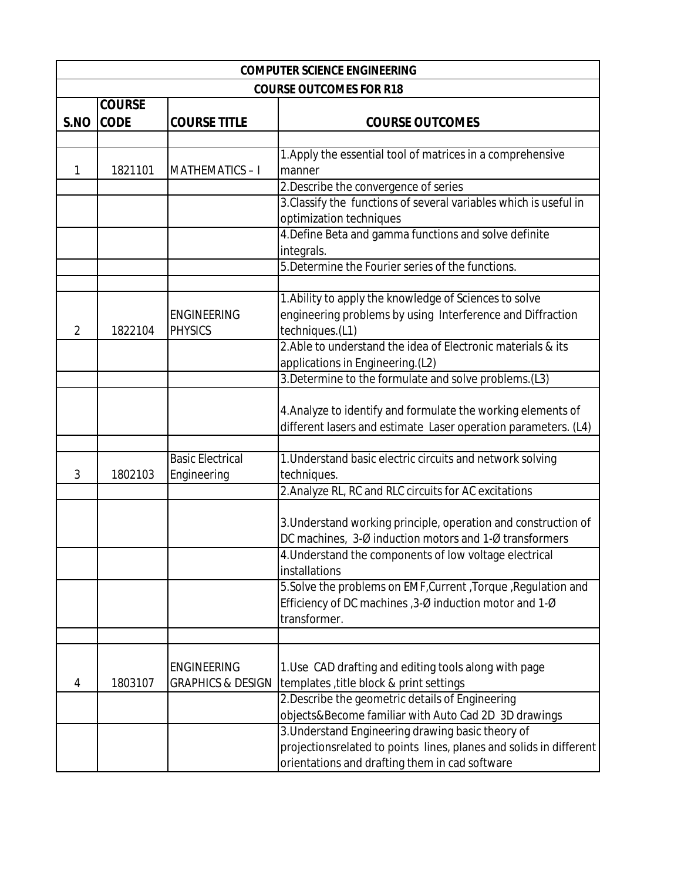| <b>COMPUTER SCIENCE ENGINEERING</b> |                                |                              |                                                                    |  |  |
|-------------------------------------|--------------------------------|------------------------------|--------------------------------------------------------------------|--|--|
|                                     | <b>COURSE OUTCOMES FOR R18</b> |                              |                                                                    |  |  |
|                                     | <b>COURSE</b>                  |                              |                                                                    |  |  |
| S.NO                                | <b>CODE</b>                    | <b>COURSE TITLE</b>          | <b>COURSE OUTCOMES</b>                                             |  |  |
|                                     |                                |                              |                                                                    |  |  |
|                                     |                                |                              | 1. Apply the essential tool of matrices in a comprehensive         |  |  |
| 1                                   | 1821101                        | <b>MATHEMATICS-I</b>         | manner                                                             |  |  |
|                                     |                                |                              | 2. Describe the convergence of series                              |  |  |
|                                     |                                |                              | 3. Classify the functions of several variables which is useful in  |  |  |
|                                     |                                |                              | optimization techniques                                            |  |  |
|                                     |                                |                              | 4. Define Beta and gamma functions and solve definite              |  |  |
|                                     |                                |                              | integrals.                                                         |  |  |
|                                     |                                |                              | 5. Determine the Fourier series of the functions.                  |  |  |
|                                     |                                |                              | 1. Ability to apply the knowledge of Sciences to solve             |  |  |
|                                     |                                | <b>ENGINEERING</b>           | engineering problems by using Interference and Diffraction         |  |  |
| $\overline{2}$                      | 1822104                        | <b>PHYSICS</b>               | techniques.(L1)                                                    |  |  |
|                                     |                                |                              | 2. Able to understand the idea of Electronic materials & its       |  |  |
|                                     |                                |                              | applications in Engineering.(L2)                                   |  |  |
|                                     |                                |                              | 3. Determine to the formulate and solve problems. (L3)             |  |  |
|                                     |                                |                              |                                                                    |  |  |
|                                     |                                |                              | 4. Analyze to identify and formulate the working elements of       |  |  |
|                                     |                                |                              | different lasers and estimate Laser operation parameters. (L4)     |  |  |
|                                     |                                |                              |                                                                    |  |  |
|                                     |                                | <b>Basic Electrical</b>      | 1. Understand basic electric circuits and network solving          |  |  |
| 3                                   | 1802103                        | Engineering                  | techniques.                                                        |  |  |
|                                     |                                |                              | 2. Analyze RL, RC and RLC circuits for AC excitations              |  |  |
|                                     |                                |                              | 3. Understand working principle, operation and construction of     |  |  |
|                                     |                                |                              | DC machines, 3-Ø induction motors and 1-Ø transformers             |  |  |
|                                     |                                |                              | 4. Understand the components of low voltage electrical             |  |  |
|                                     |                                |                              | installations                                                      |  |  |
|                                     |                                |                              | 5. Solve the problems on EMF, Current, Torque, Regulation and      |  |  |
|                                     |                                |                              | Efficiency of DC machines, $3-Ø$ induction motor and $1-Ø$         |  |  |
|                                     |                                |                              | transformer.                                                       |  |  |
|                                     |                                |                              |                                                                    |  |  |
|                                     |                                |                              |                                                                    |  |  |
|                                     |                                | <b>ENGINEERING</b>           | 1. Use CAD drafting and editing tools along with page              |  |  |
| 4                                   | 1803107                        | <b>GRAPHICS &amp; DESIGN</b> | templates, title block & print settings                            |  |  |
|                                     |                                |                              | 2. Describe the geometric details of Engineering                   |  |  |
|                                     |                                |                              | objects&Become familiar with Auto Cad 2D 3D drawings               |  |  |
|                                     |                                |                              | 3. Understand Engineering drawing basic theory of                  |  |  |
|                                     |                                |                              | projectionsrelated to points lines, planes and solids in different |  |  |
|                                     |                                |                              | orientations and drafting them in cad software                     |  |  |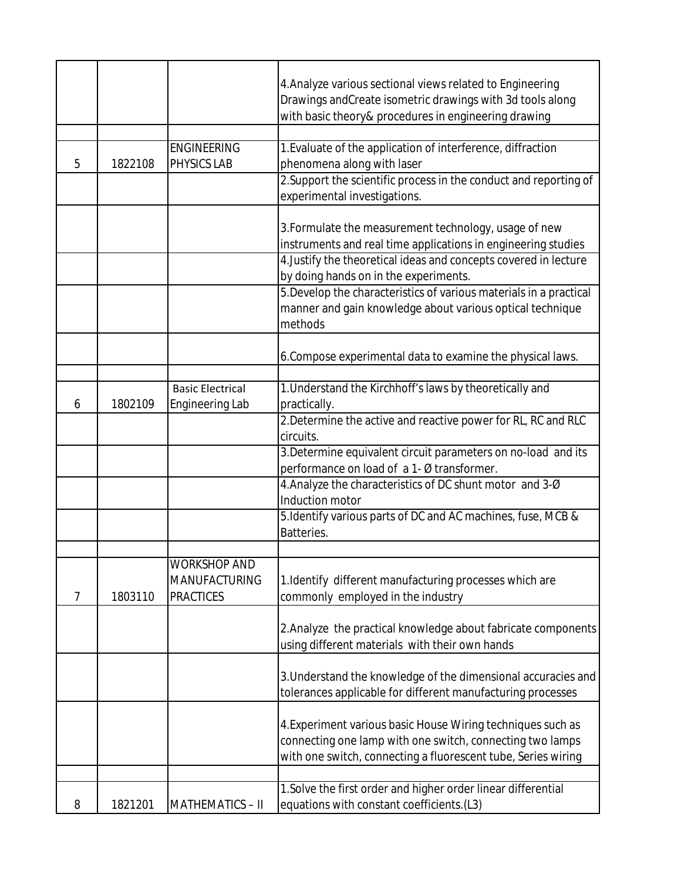|                |         |                                                          | 4. Analyze various sectional views related to Engineering<br>Drawings and Create isometric drawings with 3d tools along<br>with basic theory& procedures in engineering drawing                                                                                                                                                                                        |
|----------------|---------|----------------------------------------------------------|------------------------------------------------------------------------------------------------------------------------------------------------------------------------------------------------------------------------------------------------------------------------------------------------------------------------------------------------------------------------|
|                |         | <b>ENGINEERING</b>                                       | 1. Evaluate of the application of interference, diffraction                                                                                                                                                                                                                                                                                                            |
| 5              | 1822108 | PHYSICS LAB                                              | phenomena along with laser                                                                                                                                                                                                                                                                                                                                             |
|                |         |                                                          | 2. Support the scientific process in the conduct and reporting of                                                                                                                                                                                                                                                                                                      |
|                |         |                                                          | experimental investigations.                                                                                                                                                                                                                                                                                                                                           |
|                |         |                                                          | 3. Formulate the measurement technology, usage of new<br>instruments and real time applications in engineering studies<br>4. Justify the theoretical ideas and concepts covered in lecture<br>by doing hands on in the experiments.<br>5. Develop the characteristics of various materials in a practical<br>manner and gain knowledge about various optical technique |
|                |         |                                                          | methods                                                                                                                                                                                                                                                                                                                                                                |
|                |         |                                                          | 6. Compose experimental data to examine the physical laws.                                                                                                                                                                                                                                                                                                             |
|                |         | <b>Basic Electrical</b>                                  | 1. Understand the Kirchhoff's laws by theoretically and                                                                                                                                                                                                                                                                                                                |
| 6              | 1802109 | <b>Engineering Lab</b>                                   | practically.                                                                                                                                                                                                                                                                                                                                                           |
|                |         |                                                          | 2. Determine the active and reactive power for RL, RC and RLC<br>circuits.                                                                                                                                                                                                                                                                                             |
|                |         |                                                          | 3. Determine equivalent circuit parameters on no-load and its<br>performance on load of a 1- Ø transformer.                                                                                                                                                                                                                                                            |
|                |         |                                                          | 4. Analyze the characteristics of DC shunt motor and 3-Ø<br>Induction motor                                                                                                                                                                                                                                                                                            |
|                |         |                                                          | 5. Identify various parts of DC and AC machines, fuse, MCB &<br>Batteries.                                                                                                                                                                                                                                                                                             |
|                |         |                                                          |                                                                                                                                                                                                                                                                                                                                                                        |
| $\overline{7}$ | 1803110 | WORKSHOP AND<br><b>MANUFACTURING</b><br><b>PRACTICES</b> | 1. Identify different manufacturing processes which are<br>commonly employed in the industry                                                                                                                                                                                                                                                                           |
|                |         |                                                          | 2. Analyze the practical knowledge about fabricate components<br>using different materials with their own hands                                                                                                                                                                                                                                                        |
|                |         |                                                          | 3. Understand the knowledge of the dimensional accuracies and<br>tolerances applicable for different manufacturing processes                                                                                                                                                                                                                                           |
|                |         |                                                          | 4. Experiment various basic House Wiring techniques such as<br>connecting one lamp with one switch, connecting two lamps<br>with one switch, connecting a fluorescent tube, Series wiring                                                                                                                                                                              |
|                |         |                                                          | 1. Solve the first order and higher order linear differential                                                                                                                                                                                                                                                                                                          |
| 8              | 1821201 | MATHEMATICS-II                                           | equations with constant coefficients.(L3)                                                                                                                                                                                                                                                                                                                              |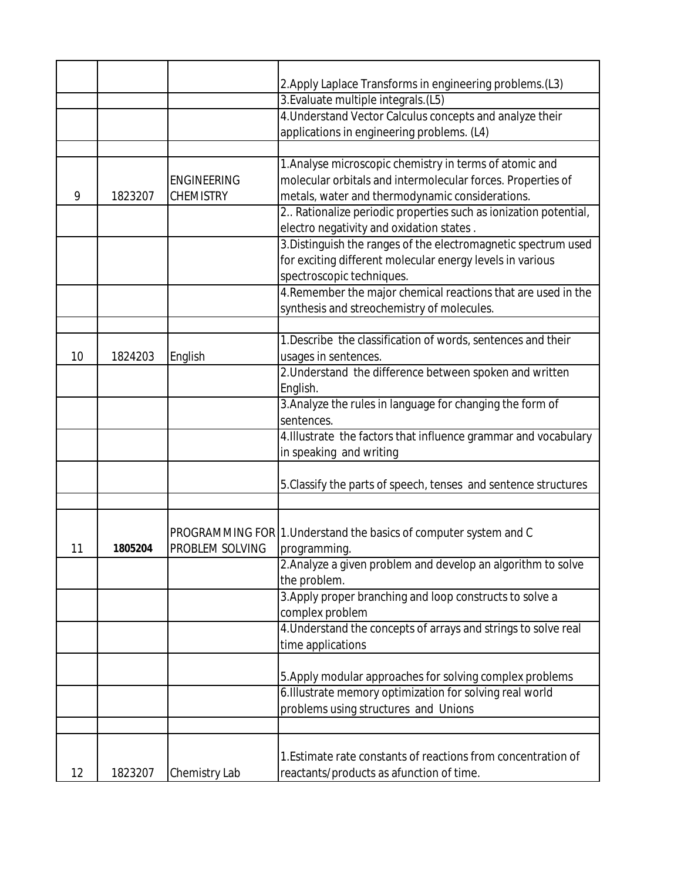|    |         |                    | 2. Apply Laplace Transforms in engineering problems. (L3)         |
|----|---------|--------------------|-------------------------------------------------------------------|
|    |         |                    | 3. Evaluate multiple integrals. (L5)                              |
|    |         |                    | 4. Understand Vector Calculus concepts and analyze their          |
|    |         |                    | applications in engineering problems. (L4)                        |
|    |         |                    |                                                                   |
|    |         |                    | 1. Analyse microscopic chemistry in terms of atomic and           |
|    |         | <b>ENGINEERING</b> | molecular orbitals and intermolecular forces. Properties of       |
| 9  | 1823207 | <b>CHEMISTRY</b>   | metals, water and thermodynamic considerations.                   |
|    |         |                    | 2. Rationalize periodic properties such as ionization potential,  |
|    |         |                    | electro negativity and oxidation states.                          |
|    |         |                    | 3. Distinguish the ranges of the electromagnetic spectrum used    |
|    |         |                    | for exciting different molecular energy levels in various         |
|    |         |                    | spectroscopic techniques.                                         |
|    |         |                    | 4. Remember the major chemical reactions that are used in the     |
|    |         |                    | synthesis and streochemistry of molecules.                        |
|    |         |                    |                                                                   |
|    |         |                    | 1. Describe the classification of words, sentences and their      |
| 10 | 1824203 | English            | usages in sentences.                                              |
|    |         |                    | 2. Understand the difference between spoken and written           |
|    |         |                    | English.                                                          |
|    |         |                    | 3. Analyze the rules in language for changing the form of         |
|    |         |                    | sentences.                                                        |
|    |         |                    | 4. Illustrate the factors that influence grammar and vocabulary   |
|    |         |                    | in speaking and writing                                           |
|    |         |                    |                                                                   |
|    |         |                    | 5. Classify the parts of speech, tenses and sentence structures   |
|    |         |                    |                                                                   |
|    |         |                    |                                                                   |
|    |         |                    | PROGRAMMING FOR 1. Understand the basics of computer system and C |
| 11 | 1805204 | PROBLEM SOLVING    | programming.                                                      |
|    |         |                    | 2. Analyze a given problem and develop an algorithm to solve      |
|    |         |                    | the problem.                                                      |
|    |         |                    | 3. Apply proper branching and loop constructs to solve a          |
|    |         |                    | complex problem                                                   |
|    |         |                    | 4. Understand the concepts of arrays and strings to solve real    |
|    |         |                    | time applications                                                 |
|    |         |                    | 5. Apply modular approaches for solving complex problems          |
|    |         |                    | 6. Illustrate memory optimization for solving real world          |
|    |         |                    | problems using structures and Unions                              |
|    |         |                    |                                                                   |
|    |         |                    |                                                                   |
|    |         |                    | 1. Estimate rate constants of reactions from concentration of     |
| 12 | 1823207 | Chemistry Lab      | reactants/products as afunction of time.                          |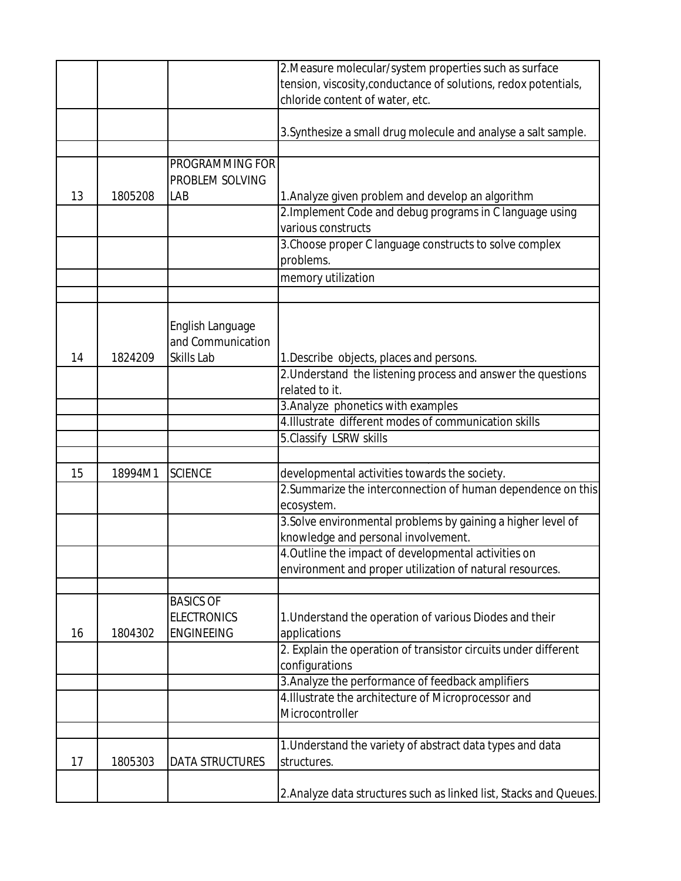|    |         |                                       | 2. Measure molecular/system properties such as surface                         |
|----|---------|---------------------------------------|--------------------------------------------------------------------------------|
|    |         |                                       | tension, viscosity, conductance of solutions, redox potentials,                |
|    |         |                                       | chloride content of water, etc.                                                |
|    |         |                                       |                                                                                |
|    |         |                                       | 3. Synthesize a small drug molecule and analyse a salt sample.                 |
|    |         |                                       |                                                                                |
|    |         | PROGRAMMING FOR                       |                                                                                |
|    |         | PROBLEM SOLVING                       |                                                                                |
| 13 | 1805208 | LAB                                   | 1. Analyze given problem and develop an algorithm                              |
|    |         |                                       | 2. Implement Code and debug programs in C language using                       |
|    |         |                                       | various constructs                                                             |
|    |         |                                       | 3. Choose proper C language constructs to solve complex                        |
|    |         |                                       | problems.                                                                      |
|    |         |                                       | memory utilization                                                             |
|    |         |                                       |                                                                                |
|    |         |                                       |                                                                                |
|    |         |                                       |                                                                                |
|    |         | English Language<br>and Communication |                                                                                |
| 14 | 1824209 | Skills Lab                            |                                                                                |
|    |         |                                       | 1. Describe objects, places and persons.                                       |
|    |         |                                       | 2. Understand the listening process and answer the questions<br>related to it. |
|    |         |                                       |                                                                                |
|    |         |                                       | 3. Analyze phonetics with examples                                             |
|    |         |                                       | 4. Illustrate different modes of communication skills                          |
|    |         |                                       | 5. Classify LSRW skills                                                        |
|    |         |                                       |                                                                                |
| 15 | 18994M1 | <b>SCIENCE</b>                        | developmental activities towards the society.                                  |
|    |         |                                       | 2. Summarize the interconnection of human dependence on this                   |
|    |         |                                       | ecosystem.                                                                     |
|    |         |                                       | 3. Solve environmental problems by gaining a higher level of                   |
|    |         |                                       | knowledge and personal involvement.                                            |
|    |         |                                       | 4. Outline the impact of developmental activities on                           |
|    |         |                                       | environment and proper utilization of natural resources.                       |
|    |         |                                       |                                                                                |
|    |         | <b>BASICS OF</b>                      |                                                                                |
|    |         | <b>ELECTRONICS</b>                    | 1. Understand the operation of various Diodes and their                        |
| 16 | 1804302 | <b>ENGINEEING</b>                     | applications                                                                   |
|    |         |                                       | 2. Explain the operation of transistor circuits under different                |
|    |         |                                       | configurations                                                                 |
|    |         |                                       | 3. Analyze the performance of feedback amplifiers                              |
|    |         |                                       | 4. Illustrate the architecture of Microprocessor and                           |
|    |         |                                       | Microcontroller                                                                |
|    |         |                                       |                                                                                |
|    |         |                                       | 1. Understand the variety of abstract data types and data                      |
| 17 | 1805303 | <b>DATA STRUCTURES</b>                | structures.                                                                    |
|    |         |                                       |                                                                                |
|    |         |                                       | 2. Analyze data structures such as linked list, Stacks and Queues.             |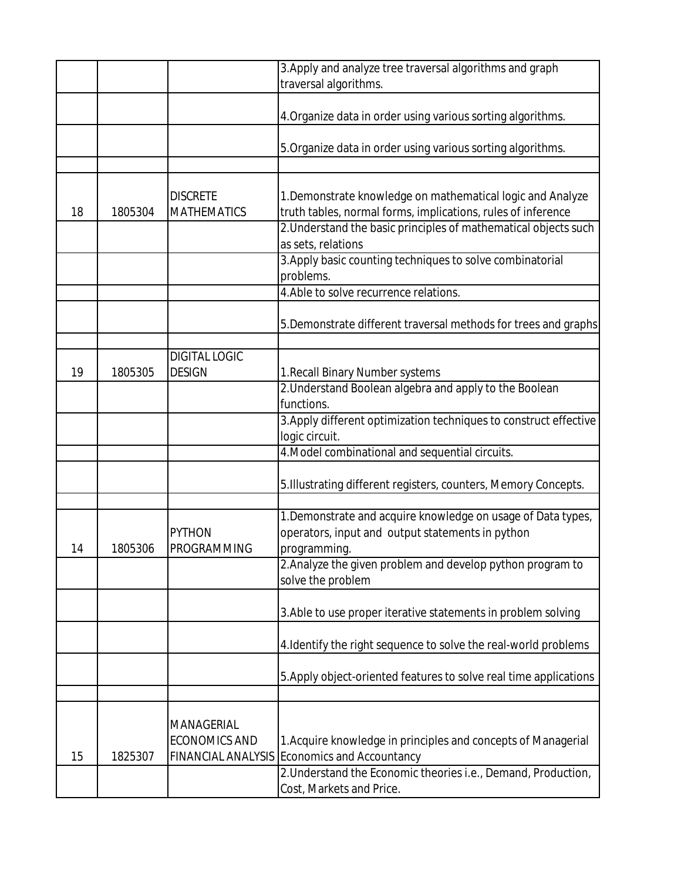|    |         |                                       | 3. Apply and analyze tree traversal algorithms and graph                                                                   |
|----|---------|---------------------------------------|----------------------------------------------------------------------------------------------------------------------------|
|    |         |                                       | traversal algorithms.                                                                                                      |
|    |         |                                       | 4. Organize data in order using various sorting algorithms.                                                                |
|    |         |                                       | 5. Organize data in order using various sorting algorithms.                                                                |
|    |         |                                       |                                                                                                                            |
| 18 | 1805304 | <b>DISCRETE</b><br><b>MATHEMATICS</b> | 1. Demonstrate knowledge on mathematical logic and Analyze<br>truth tables, normal forms, implications, rules of inference |
|    |         |                                       | 2. Understand the basic principles of mathematical objects such<br>as sets, relations                                      |
|    |         |                                       | 3. Apply basic counting techniques to solve combinatorial                                                                  |
|    |         |                                       | problems.                                                                                                                  |
|    |         |                                       | 4. Able to solve recurrence relations.                                                                                     |
|    |         |                                       |                                                                                                                            |
|    |         |                                       | 5. Demonstrate different traversal methods for trees and graphs                                                            |
|    |         | <b>DIGITAL LOGIC</b>                  |                                                                                                                            |
| 19 | 1805305 | <b>DESIGN</b>                         | 1. Recall Binary Number systems                                                                                            |
|    |         |                                       | 2. Understand Boolean algebra and apply to the Boolean                                                                     |
|    |         |                                       | functions.                                                                                                                 |
|    |         |                                       | 3. Apply different optimization techniques to construct effective                                                          |
|    |         |                                       | logic circuit.                                                                                                             |
|    |         |                                       | 4. Model combinational and sequential circuits.                                                                            |
|    |         |                                       |                                                                                                                            |
|    |         |                                       | 5. Illustrating different registers, counters, Memory Concepts.                                                            |
|    |         |                                       |                                                                                                                            |
|    |         | <b>PYTHON</b>                         | 1. Demonstrate and acquire knowledge on usage of Data types,<br>operators, input and output statements in python           |
| 14 | 1805306 | PROGRAMMING                           | programming.                                                                                                               |
|    |         |                                       | 2. Analyze the given problem and develop python program to                                                                 |
|    |         |                                       | solve the problem                                                                                                          |
|    |         |                                       | 3. Able to use proper iterative statements in problem solving                                                              |
|    |         |                                       |                                                                                                                            |
|    |         |                                       | 4. Identify the right sequence to solve the real-world problems                                                            |
|    |         |                                       | 5. Apply object-oriented features to solve real time applications                                                          |
|    |         |                                       |                                                                                                                            |
|    |         |                                       |                                                                                                                            |
|    |         | MANAGERIAL                            |                                                                                                                            |
|    |         | <b>ECONOMICS AND</b>                  | 1. Acquire knowledge in principles and concepts of Managerial                                                              |
| 15 | 1825307 | <b>FINANCIAL ANALYSIS</b>             | Economics and Accountancy                                                                                                  |
|    |         |                                       | 2. Understand the Economic theories i.e., Demand, Production,                                                              |
|    |         |                                       | Cost, Markets and Price.                                                                                                   |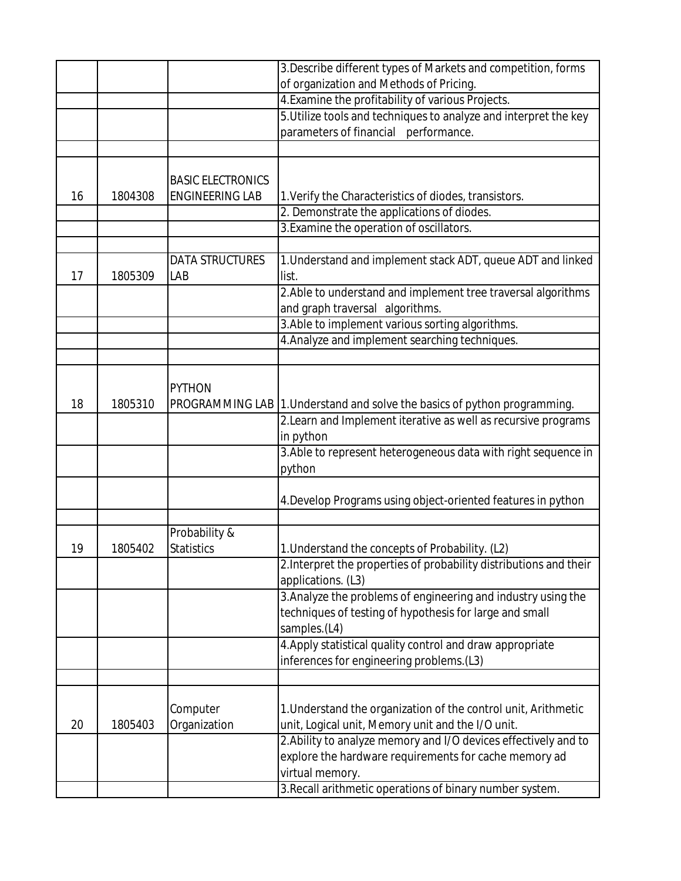|    |         |                          | 3. Describe different types of Markets and competition, forms             |
|----|---------|--------------------------|---------------------------------------------------------------------------|
|    |         |                          | of organization and Methods of Pricing.                                   |
|    |         |                          | 4. Examine the profitability of various Projects.                         |
|    |         |                          | 5. Utilize tools and techniques to analyze and interpret the key          |
|    |         |                          | parameters of financial performance.                                      |
|    |         |                          |                                                                           |
|    |         |                          |                                                                           |
|    |         | <b>BASIC ELECTRONICS</b> |                                                                           |
| 16 | 1804308 | <b>ENGINEERING LAB</b>   | 1. Verify the Characteristics of diodes, transistors.                     |
|    |         |                          | 2. Demonstrate the applications of diodes.                                |
|    |         |                          | 3. Examine the operation of oscillators.                                  |
|    |         |                          |                                                                           |
|    |         | <b>DATA STRUCTURES</b>   | 1. Understand and implement stack ADT, queue ADT and linked               |
| 17 | 1805309 | LAB                      | list.                                                                     |
|    |         |                          | 2. Able to understand and implement tree traversal algorithms             |
|    |         |                          | and graph traversal algorithms.                                           |
|    |         |                          | 3. Able to implement various sorting algorithms.                          |
|    |         |                          | 4. Analyze and implement searching techniques.                            |
|    |         |                          |                                                                           |
|    |         |                          |                                                                           |
|    |         | <b>PYTHON</b>            |                                                                           |
| 18 | 1805310 |                          | PROGRAMMING LAB 1. Understand and solve the basics of python programming. |
|    |         |                          | 2. Learn and Implement iterative as well as recursive programs            |
|    |         |                          | in python                                                                 |
|    |         |                          | 3. Able to represent heterogeneous data with right sequence in            |
|    |         |                          | python                                                                    |
|    |         |                          |                                                                           |
|    |         |                          | 4. Develop Programs using object-oriented features in python              |
|    |         |                          |                                                                           |
|    |         | Probability &            |                                                                           |
| 19 | 1805402 | <b>Statistics</b>        | 1. Understand the concepts of Probability. (L2)                           |
|    |         |                          | 2. Interpret the properties of probability distributions and their        |
|    |         |                          | applications. (L3)                                                        |
|    |         |                          | 3. Analyze the problems of engineering and industry using the             |
|    |         |                          | techniques of testing of hypothesis for large and small                   |
|    |         |                          | samples.(L4)                                                              |
|    |         |                          | 4. Apply statistical quality control and draw appropriate                 |
|    |         |                          | inferences for engineering problems.(L3)                                  |
|    |         |                          |                                                                           |
|    |         | Computer                 | 1. Understand the organization of the control unit, Arithmetic            |
| 20 | 1805403 | Organization             | unit, Logical unit, Memory unit and the I/O unit.                         |
|    |         |                          | 2. Ability to analyze memory and I/O devices effectively and to           |
|    |         |                          | explore the hardware requirements for cache memory ad                     |
|    |         |                          | virtual memory.                                                           |
|    |         |                          | 3. Recall arithmetic operations of binary number system.                  |
|    |         |                          |                                                                           |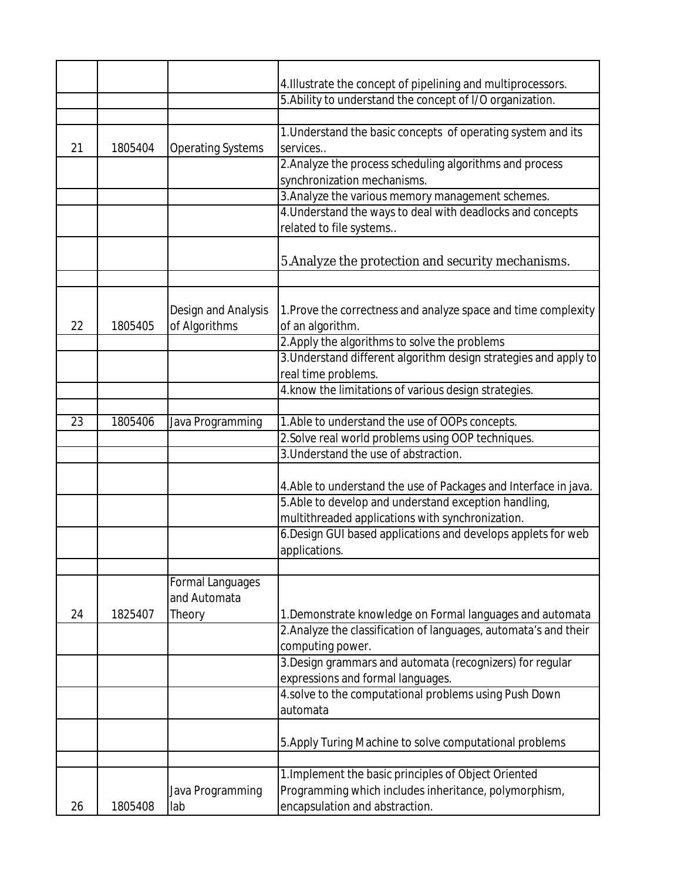|    |         |                                         | 4. Illustrate the concept of pipelining and multiprocessors.                            |
|----|---------|-----------------------------------------|-----------------------------------------------------------------------------------------|
|    |         |                                         | 5. Ability to understand the concept of I/O organization.                               |
|    |         |                                         |                                                                                         |
| 21 | 1805404 | <b>Operating Systems</b>                | 1. Understand the basic concepts of operating system and its<br>services                |
|    |         |                                         | 2. Analyze the process scheduling algorithms and process<br>synchronization mechanisms. |
|    |         |                                         | 3. Analyze the various memory management schemes.                                       |
|    |         |                                         | 4. Understand the ways to deal with deadlocks and concepts                              |
|    |         |                                         | related to file systems                                                                 |
|    |         |                                         | 5. Analyze the protection and security mechanisms.                                      |
|    |         |                                         |                                                                                         |
| 22 | 1805405 | Design and Analysis<br>of Algorithms    | 1. Prove the correctness and analyze space and time complexity<br>of an algorithm.      |
|    |         |                                         | 2. Apply the algorithms to solve the problems                                           |
|    |         |                                         | 3. Understand different algorithm design strategies and apply to                        |
|    |         |                                         | real time problems.                                                                     |
|    |         |                                         | 4. know the limitations of various design strategies.                                   |
|    |         |                                         |                                                                                         |
| 23 | 1805406 | Java Programming                        | 1. Able to understand the use of OOPs concepts.                                         |
|    |         |                                         | 2. Solve real world problems using OOP techniques.                                      |
|    |         |                                         | 3. Understand the use of abstraction.                                                   |
|    |         |                                         |                                                                                         |
|    |         |                                         | 4. Able to understand the use of Packages and Interface in java.                        |
|    |         |                                         | 5. Able to develop and understand exception handling,                                   |
|    |         |                                         | multithreaded applications with synchronization.                                        |
|    |         |                                         | 6. Design GUI based applications and develops applets for web                           |
|    |         |                                         | applications.                                                                           |
|    |         |                                         |                                                                                         |
|    |         | <b>Formal Languages</b><br>and Automata |                                                                                         |
| 24 | 1825407 | Theory                                  | 1. Demonstrate knowledge on Formal languages and automata                               |
|    |         |                                         | 2. Analyze the classification of languages, automata's and their                        |
|    |         |                                         | computing power.                                                                        |
|    |         |                                         | 3. Design grammars and automata (recognizers) for regular                               |
|    |         |                                         | expressions and formal languages.                                                       |
|    |         |                                         | 4.solve to the computational problems using Push Down                                   |
|    |         |                                         | automata                                                                                |
|    |         |                                         | 5. Apply Turing Machine to solve computational problems                                 |
|    |         |                                         |                                                                                         |
|    |         |                                         | 1. Implement the basic principles of Object Oriented                                    |
|    |         | Java Programming                        | Programming which includes inheritance, polymorphism,                                   |
| 26 | 1805408 | lab                                     | encapsulation and abstraction.                                                          |
|    |         |                                         |                                                                                         |